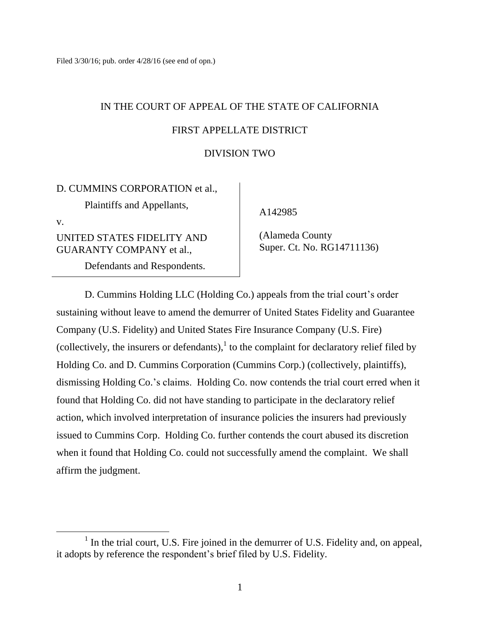# IN THE COURT OF APPEAL OF THE STATE OF CALIFORNIA FIRST APPELLATE DISTRICT

#### DIVISION TWO

# D. CUMMINS CORPORATION et al.,

Plaintiffs and Appellants,

v.

UNITED STATES FIDELITY AND GUARANTY COMPANY et al.,

Defendants and Respondents.

A142985

 (Alameda County Super. Ct. No. RG14711136)

D. Cummins Holding LLC (Holding Co.) appeals from the trial court's order sustaining without leave to amend the demurrer of United States Fidelity and Guarantee Company (U.S. Fidelity) and United States Fire Insurance Company (U.S. Fire) (collectively, the insurers or defendants), $\frac{1}{1}$  to the complaint for declaratory relief filed by Holding Co. and D. Cummins Corporation (Cummins Corp.) (collectively, plaintiffs), dismissing Holding Co.'s claims. Holding Co. now contends the trial court erred when it found that Holding Co. did not have standing to participate in the declaratory relief action, which involved interpretation of insurance policies the insurers had previously issued to Cummins Corp. Holding Co. further contends the court abused its discretion when it found that Holding Co. could not successfully amend the complaint. We shall affirm the judgment.

<sup>&</sup>lt;sup>1</sup> In the trial court, U.S. Fire joined in the demurrer of U.S. Fidelity and, on appeal, it adopts by reference the respondent's brief filed by U.S. Fidelity.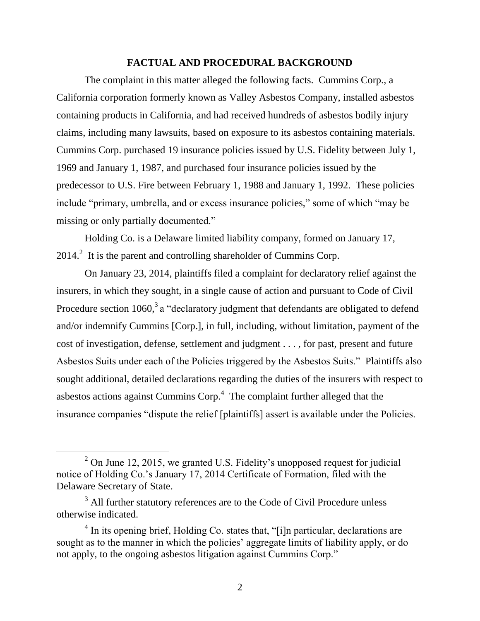#### **FACTUAL AND PROCEDURAL BACKGROUND**

The complaint in this matter alleged the following facts. Cummins Corp., a California corporation formerly known as Valley Asbestos Company, installed asbestos containing products in California, and had received hundreds of asbestos bodily injury claims, including many lawsuits, based on exposure to its asbestos containing materials. Cummins Corp. purchased 19 insurance policies issued by U.S. Fidelity between July 1, 1969 and January 1, 1987, and purchased four insurance policies issued by the predecessor to U.S. Fire between February 1, 1988 and January 1, 1992. These policies include "primary, umbrella, and or excess insurance policies," some of which "may be missing or only partially documented."

Holding Co. is a Delaware limited liability company, formed on January 17,  $2014<sup>2</sup>$  It is the parent and controlling shareholder of Cummins Corp.

On January 23, 2014, plaintiffs filed a complaint for declaratory relief against the insurers, in which they sought, in a single cause of action and pursuant to Code of Civil Procedure section  $1060$ ,<sup>3</sup> a "declaratory judgment that defendants are obligated to defend and/or indemnify Cummins [Corp.], in full, including, without limitation, payment of the cost of investigation, defense, settlement and judgment . . . , for past, present and future Asbestos Suits under each of the Policies triggered by the Asbestos Suits." Plaintiffs also sought additional, detailed declarations regarding the duties of the insurers with respect to asbestos actions against Cummins Corp. $4$  The complaint further alleged that the insurance companies "dispute the relief [plaintiffs] assert is available under the Policies.

 $\overline{a}$ 

 $2$  On June 12, 2015, we granted U.S. Fidelity's unopposed request for judicial notice of Holding Co.'s January 17, 2014 Certificate of Formation, filed with the Delaware Secretary of State.

<sup>&</sup>lt;sup>3</sup> All further statutory references are to the Code of Civil Procedure unless otherwise indicated.

<sup>&</sup>lt;sup>4</sup> In its opening brief, Holding Co. states that, "[i]n particular, declarations are sought as to the manner in which the policies' aggregate limits of liability apply, or do not apply, to the ongoing asbestos litigation against Cummins Corp."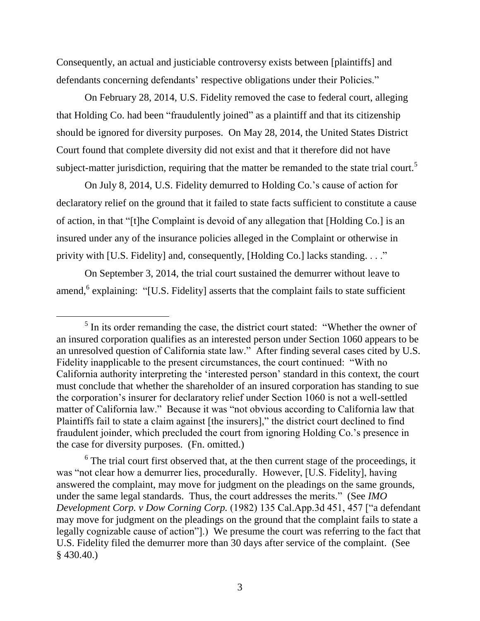Consequently, an actual and justiciable controversy exists between [plaintiffs] and defendants concerning defendants' respective obligations under their Policies."

On February 28, 2014, U.S. Fidelity removed the case to federal court, alleging that Holding Co. had been "fraudulently joined" as a plaintiff and that its citizenship should be ignored for diversity purposes. On May 28, 2014, the United States District Court found that complete diversity did not exist and that it therefore did not have subject-matter jurisdiction, requiring that the matter be remanded to the state trial court.<sup>5</sup>

On July 8, 2014, U.S. Fidelity demurred to Holding Co.'s cause of action for declaratory relief on the ground that it failed to state facts sufficient to constitute a cause of action, in that "[t]he Complaint is devoid of any allegation that [Holding Co.] is an insured under any of the insurance policies alleged in the Complaint or otherwise in privity with [U.S. Fidelity] and, consequently, [Holding Co.] lacks standing. . . ."

On September 3, 2014, the trial court sustained the demurrer without leave to amend, <sup>6</sup> explaining: "[U.S. Fidelity] asserts that the complaint fails to state sufficient

 $\overline{a}$ 

 $6$  The trial court first observed that, at the then current stage of the proceedings, it was "not clear how a demurrer lies, procedurally. However, [U.S. Fidelity], having answered the complaint, may move for judgment on the pleadings on the same grounds, under the same legal standards. Thus, the court addresses the merits." (See *IMO Development Corp. v Dow Corning Corp.* (1982) 135 Cal.App.3d 451, 457 ["a defendant may move for judgment on the pleadings on the ground that the complaint fails to state a legally cognizable cause of action"].) We presume the court was referring to the fact that U.S. Fidelity filed the demurrer more than 30 days after service of the complaint. (See § 430.40.)

<sup>&</sup>lt;sup>5</sup> In its order remanding the case, the district court stated: "Whether the owner of an insured corporation qualifies as an interested person under Section 1060 appears to be an unresolved question of California state law." After finding several cases cited by U.S. Fidelity inapplicable to the present circumstances, the court continued: "With no California authority interpreting the 'interested person' standard in this context, the court must conclude that whether the shareholder of an insured corporation has standing to sue the corporation's insurer for declaratory relief under Section 1060 is not a well-settled matter of California law." Because it was "not obvious according to California law that Plaintiffs fail to state a claim against [the insurers]," the district court declined to find fraudulent joinder, which precluded the court from ignoring Holding Co.'s presence in the case for diversity purposes. (Fn. omitted.)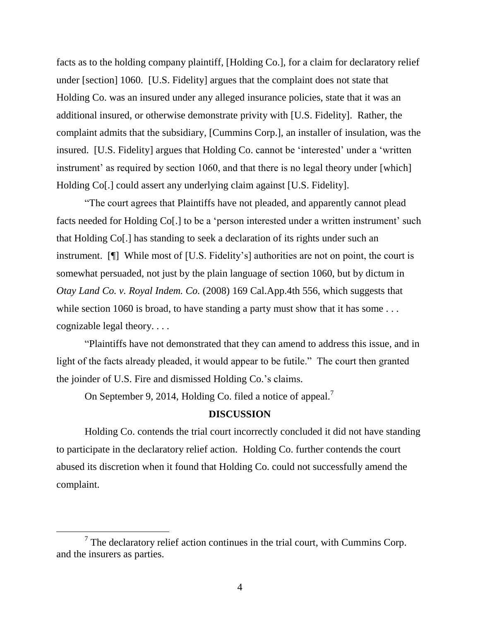facts as to the holding company plaintiff, [Holding Co.], for a claim for declaratory relief under [section] 1060. [U.S. Fidelity] argues that the complaint does not state that Holding Co. was an insured under any alleged insurance policies, state that it was an additional insured, or otherwise demonstrate privity with [U.S. Fidelity]. Rather, the complaint admits that the subsidiary, [Cummins Corp.], an installer of insulation, was the insured. [U.S. Fidelity] argues that Holding Co. cannot be 'interested' under a 'written instrument' as required by section 1060, and that there is no legal theory under [which] Holding Co[.] could assert any underlying claim against [U.S. Fidelity].

"The court agrees that Plaintiffs have not pleaded, and apparently cannot plead facts needed for Holding Co[.] to be a 'person interested under a written instrument' such that Holding Co[.] has standing to seek a declaration of its rights under such an instrument. [¶] While most of [U.S. Fidelity's] authorities are not on point, the court is somewhat persuaded, not just by the plain language of section 1060, but by dictum in *Otay Land Co. v. Royal Indem. Co.* (2008) 169 Cal.App.4th 556, which suggests that while section 1060 is broad, to have standing a party must show that it has some ... cognizable legal theory. . . .

"Plaintiffs have not demonstrated that they can amend to address this issue, and in light of the facts already pleaded, it would appear to be futile." The court then granted the joinder of U.S. Fire and dismissed Holding Co.'s claims.

On September 9, 2014, Holding Co. filed a notice of appeal.<sup>7</sup>

#### **DISCUSSION**

Holding Co. contends the trial court incorrectly concluded it did not have standing to participate in the declaratory relief action. Holding Co. further contends the court abused its discretion when it found that Holding Co. could not successfully amend the complaint.

 $7$  The declaratory relief action continues in the trial court, with Cummins Corp. and the insurers as parties.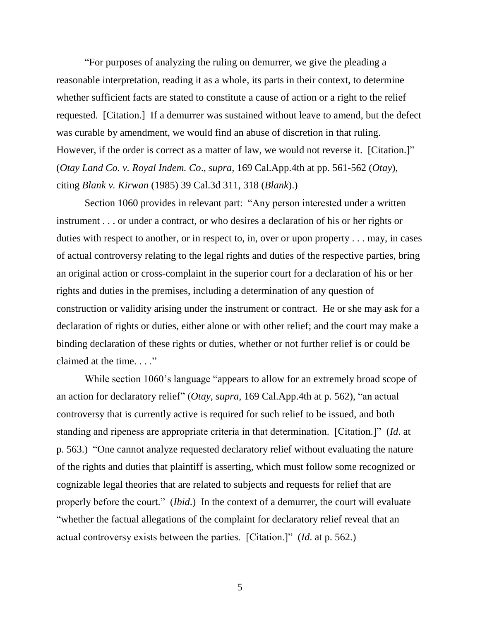"For purposes of analyzing the ruling on demurrer, we give the pleading a reasonable interpretation, reading it as a whole, its parts in their context, to determine whether sufficient facts are stated to constitute a cause of action or a right to the relief requested. [Citation.] If a demurrer was sustained without leave to amend, but the defect was curable by amendment, we would find an abuse of discretion in that ruling. However, if the order is correct as a matter of law, we would not reverse it. [Citation.]" (*Otay Land Co. v. Royal Indem. Co*., *supra*, 169 Cal.App.4th at pp. 561-562 (*Otay*), citing *Blank v. Kirwan* (1985) 39 Cal.3d 311, 318 (*Blank*).)

Section 1060 provides in relevant part: "Any person interested under a written instrument . . . or under a contract, or who desires a declaration of his or her rights or duties with respect to another, or in respect to, in, over or upon property . . . may, in cases of actual controversy relating to the legal rights and duties of the respective parties, bring an original action or cross-complaint in the superior court for a declaration of his or her rights and duties in the premises, including a determination of any question of construction or validity arising under the instrument or contract. He or she may ask for a declaration of rights or duties, either alone or with other relief; and the court may make a binding declaration of these rights or duties, whether or not further relief is or could be claimed at the time. . . ."

While section 1060's language "appears to allow for an extremely broad scope of an action for declaratory relief" (*Otay*, *supra*, 169 Cal.App.4th at p. 562), "an actual controversy that is currently active is required for such relief to be issued, and both standing and ripeness are appropriate criteria in that determination. [Citation.]" (*Id*. at p. 563.) "One cannot analyze requested declaratory relief without evaluating the nature of the rights and duties that plaintiff is asserting, which must follow some recognized or cognizable legal theories that are related to subjects and requests for relief that are properly before the court." (*Ibid*.) In the context of a demurrer, the court will evaluate "whether the factual allegations of the complaint for declaratory relief reveal that an actual controversy exists between the parties. [Citation.]" (*Id*. at p. 562.)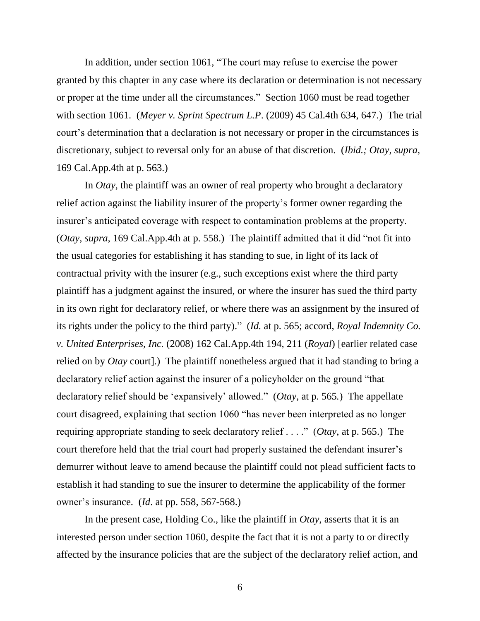In addition, under section 1061, "The court may refuse to exercise the power granted by this chapter in any case where its declaration or determination is not necessary or proper at the time under all the circumstances." Section 1060 must be read together with section 1061. (*Meyer v. Sprint Spectrum L.P*. (2009) 45 Cal.4th 634, 647.) The trial court's determination that a declaration is not necessary or proper in the circumstances is discretionary, subject to reversal only for an abuse of that discretion. (*Ibid.; Otay*, *supra*, 169 Cal.App.4th at p. 563.)

In *Otay*, the plaintiff was an owner of real property who brought a declaratory relief action against the liability insurer of the property's former owner regarding the insurer's anticipated coverage with respect to contamination problems at the property. (*Otay*, *supra*, 169 Cal.App.4th at p. 558.) The plaintiff admitted that it did "not fit into the usual categories for establishing it has standing to sue, in light of its lack of contractual privity with the insurer (e.g., such exceptions exist where the third party plaintiff has a judgment against the insured, or where the insurer has sued the third party in its own right for declaratory relief, or where there was an assignment by the insured of its rights under the policy to the third party)." (*Id.* at p. 565; accord, *Royal Indemnity Co. v. United Enterprises, Inc.* (2008) 162 Cal.App.4th 194, 211 (*Royal*) [earlier related case relied on by *Otay* court].) The plaintiff nonetheless argued that it had standing to bring a declaratory relief action against the insurer of a policyholder on the ground "that declaratory relief should be 'expansively' allowed." (*Otay*, at p. 565*.*) The appellate court disagreed, explaining that section 1060 "has never been interpreted as no longer requiring appropriate standing to seek declaratory relief . . . ." (*Otay*, at p. 565.) The court therefore held that the trial court had properly sustained the defendant insurer's demurrer without leave to amend because the plaintiff could not plead sufficient facts to establish it had standing to sue the insurer to determine the applicability of the former owner's insurance. (*Id*. at pp. 558, 567-568.)

In the present case, Holding Co., like the plaintiff in *Otay*, asserts that it is an interested person under section 1060, despite the fact that it is not a party to or directly affected by the insurance policies that are the subject of the declaratory relief action, and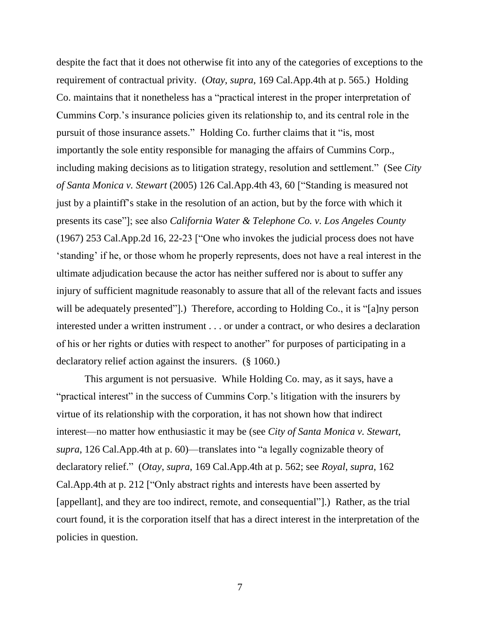despite the fact that it does not otherwise fit into any of the categories of exceptions to the requirement of contractual privity. (*Otay*, *supra*, 169 Cal.App.4th at p. 565.) Holding Co. maintains that it nonetheless has a "practical interest in the proper interpretation of Cummins Corp.'s insurance policies given its relationship to, and its central role in the pursuit of those insurance assets." Holding Co. further claims that it "is, most importantly the sole entity responsible for managing the affairs of Cummins Corp., including making decisions as to litigation strategy, resolution and settlement." (See *City of Santa Monica v. Stewart* (2005) 126 Cal.App.4th 43, 60 ["Standing is measured not just by a plaintiff's stake in the resolution of an action, but by the force with which it presents its case"]; see also *California Water & Telephone Co. v. Los Angeles County* (1967) 253 Cal.App.2d 16, 22-23 ["One who invokes the judicial process does not have 'standing' if he, or those whom he properly represents, does not have a real interest in the ultimate adjudication because the actor has neither suffered nor is about to suffer any injury of sufficient magnitude reasonably to assure that all of the relevant facts and issues will be adequately presented"].) Therefore, according to Holding Co., it is "[a]ny person interested under a written instrument . . . or under a contract, or who desires a declaration of his or her rights or duties with respect to another" for purposes of participating in a declaratory relief action against the insurers. (§ 1060.)

This argument is not persuasive. While Holding Co. may, as it says, have a "practical interest" in the success of Cummins Corp.'s litigation with the insurers by virtue of its relationship with the corporation, it has not shown how that indirect interest—no matter how enthusiastic it may be (see *City of Santa Monica v. Stewart*, *supra*, 126 Cal.App.4th at p. 60)—translates into "a legally cognizable theory of declaratory relief." (*Otay*, *supra*, 169 Cal.App.4th at p. 562; see *Royal*, *supra*, 162 Cal.App.4th at p. 212 ["Only abstract rights and interests have been asserted by [appellant], and they are too indirect, remote, and consequential"].) Rather, as the trial court found, it is the corporation itself that has a direct interest in the interpretation of the policies in question.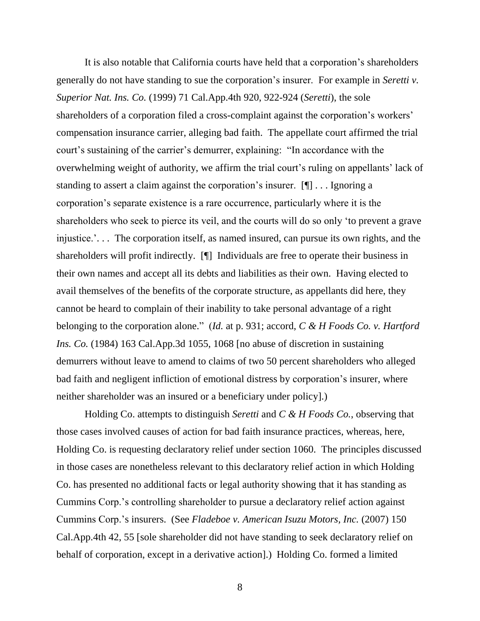It is also notable that California courts have held that a corporation's shareholders generally do not have standing to sue the corporation's insurer. For example in *Seretti v. Superior Nat. Ins. Co.* (1999) 71 Cal.App.4th 920, 922-924 (*Seretti*), the sole shareholders of a corporation filed a cross-complaint against the corporation's workers' compensation insurance carrier, alleging bad faith. The appellate court affirmed the trial court's sustaining of the carrier's demurrer, explaining: "In accordance with the overwhelming weight of authority, we affirm the trial court's ruling on appellants' lack of standing to assert a claim against the corporation's insurer. [¶] . . . Ignoring a corporation's separate existence is a rare occurrence, particularly where it is the shareholders who seek to pierce its veil, and the courts will do so only 'to prevent a grave injustice.'. . . The corporation itself, as named insured, can pursue its own rights, and the shareholders will profit indirectly. [¶] Individuals are free to operate their business in their own names and accept all its debts and liabilities as their own. Having elected to avail themselves of the benefits of the corporate structure, as appellants did here, they cannot be heard to complain of their inability to take personal advantage of a right belonging to the corporation alone." (*Id.* at p. 931; accord, *C & H Foods Co. v. Hartford Ins. Co.* (1984) 163 Cal.App.3d 1055, 1068 [no abuse of discretion in sustaining demurrers without leave to amend to claims of two 50 percent shareholders who alleged bad faith and negligent infliction of emotional distress by corporation's insurer, where neither shareholder was an insured or a beneficiary under policy].)

Holding Co. attempts to distinguish *Seretti* and *C & H Foods Co.*, observing that those cases involved causes of action for bad faith insurance practices, whereas, here, Holding Co. is requesting declaratory relief under section 1060. The principles discussed in those cases are nonetheless relevant to this declaratory relief action in which Holding Co. has presented no additional facts or legal authority showing that it has standing as Cummins Corp.'s controlling shareholder to pursue a declaratory relief action against Cummins Corp.'s insurers. (See *Fladeboe v. American Isuzu Motors, Inc.* (2007) 150 Cal.App.4th 42, 55 [sole shareholder did not have standing to seek declaratory relief on behalf of corporation, except in a derivative action].) Holding Co. formed a limited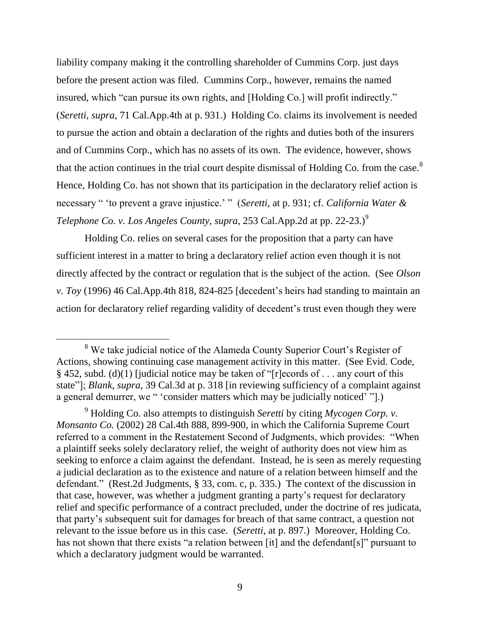liability company making it the controlling shareholder of Cummins Corp. just days before the present action was filed. Cummins Corp., however, remains the named insured, which "can pursue its own rights, and [Holding Co.] will profit indirectly." (*Seretti*, *supra*, 71 Cal.App.4th at p. 931.) Holding Co. claims its involvement is needed to pursue the action and obtain a declaration of the rights and duties both of the insurers and of Cummins Corp., which has no assets of its own. The evidence, however, shows that the action continues in the trial court despite dismissal of Holding Co. from the case. $8$ Hence, Holding Co. has not shown that its participation in the declaratory relief action is necessary " 'to prevent a grave injustice.' " (*Seretti*, at p. 931; cf. *California Water & Telephone Co. v. Los Angeles County, supra, 253 Cal.App.2d at pp. 22-23.)*<sup>9</sup>

Holding Co. relies on several cases for the proposition that a party can have sufficient interest in a matter to bring a declaratory relief action even though it is not directly affected by the contract or regulation that is the subject of the action. (See *Olson v. Toy* (1996) 46 Cal.App.4th 818, 824-825 [decedent's heirs had standing to maintain an action for declaratory relief regarding validity of decedent's trust even though they were

 <sup>8</sup> We take judicial notice of the Alameda County Superior Court's Register of Actions, showing continuing case management activity in this matter. (See Evid. Code, § 452, subd. (d)(1) [judicial notice may be taken of "[r]ecords of . . . any court of this state"]; *Blank*, *supra*, 39 Cal.3d at p. 318 [in reviewing sufficiency of a complaint against a general demurrer, we " 'consider matters which may be judicially noticed' "].)

<sup>9</sup> Holding Co. also attempts to distinguish *Seretti* by citing *Mycogen Corp. v. Monsanto Co.* (2002) 28 Cal.4th 888, 899-900, in which the California Supreme Court referred to a comment in the Restatement Second of Judgments, which provides: "When a plaintiff seeks solely declaratory relief, the weight of authority does not view him as seeking to enforce a claim against the defendant. Instead, he is seen as merely requesting a judicial declaration as to the existence and nature of a relation between himself and the defendant." (Rest.2d Judgments, § 33, com. c, p. 335.) The context of the discussion in that case, however, was whether a judgment granting a party's request for declaratory relief and specific performance of a contract precluded, under the doctrine of res judicata, that party's subsequent suit for damages for breach of that same contract, a question not relevant to the issue before us in this case. (*Seretti*, at p. 897.) Moreover, Holding Co. has not shown that there exists "a relation between [it] and the defendant [s]" pursuant to which a declaratory judgment would be warranted.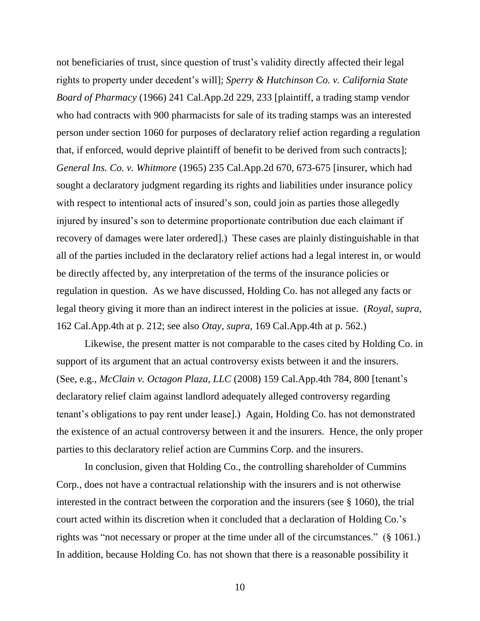not beneficiaries of trust, since question of trust's validity directly affected their legal rights to property under decedent's will]; *Sperry & Hutchinson Co. v. California State Board of Pharmacy* (1966) 241 Cal.App.2d 229, 233 [plaintiff, a trading stamp vendor who had contracts with 900 pharmacists for sale of its trading stamps was an interested person under section 1060 for purposes of declaratory relief action regarding a regulation that, if enforced, would deprive plaintiff of benefit to be derived from such contracts]; *General Ins. Co. v. Whitmore* (1965) 235 Cal.App.2d 670, 673-675 [insurer, which had sought a declaratory judgment regarding its rights and liabilities under insurance policy with respect to intentional acts of insured's son, could join as parties those allegedly injured by insured's son to determine proportionate contribution due each claimant if recovery of damages were later ordered].) These cases are plainly distinguishable in that all of the parties included in the declaratory relief actions had a legal interest in, or would be directly affected by, any interpretation of the terms of the insurance policies or regulation in question. As we have discussed, Holding Co. has not alleged any facts or legal theory giving it more than an indirect interest in the policies at issue. (*Royal*, *supra*, 162 Cal.App.4th at p. 212; see also *Otay*, *supra*, 169 Cal.App.4th at p. 562.)

Likewise, the present matter is not comparable to the cases cited by Holding Co. in support of its argument that an actual controversy exists between it and the insurers. (See, e.g., *McClain v. Octagon Plaza, LLC* (2008) 159 Cal.App.4th 784, 800 [tenant's declaratory relief claim against landlord adequately alleged controversy regarding tenant's obligations to pay rent under lease].) Again, Holding Co. has not demonstrated the existence of an actual controversy between it and the insurers. Hence, the only proper parties to this declaratory relief action are Cummins Corp. and the insurers.

In conclusion, given that Holding Co., the controlling shareholder of Cummins Corp., does not have a contractual relationship with the insurers and is not otherwise interested in the contract between the corporation and the insurers (see § 1060), the trial court acted within its discretion when it concluded that a declaration of Holding Co.'s rights was "not necessary or proper at the time under all of the circumstances." (§ 1061.) In addition, because Holding Co. has not shown that there is a reasonable possibility it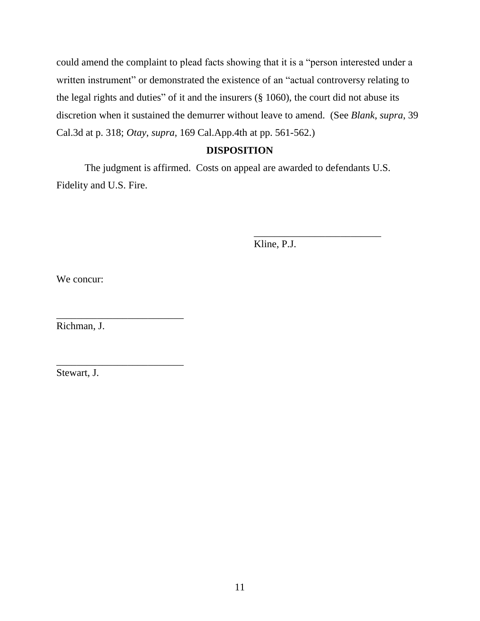could amend the complaint to plead facts showing that it is a "person interested under a written instrument" or demonstrated the existence of an "actual controversy relating to the legal rights and duties" of it and the insurers (§ 1060), the court did not abuse its discretion when it sustained the demurrer without leave to amend. (See *Blank*, *supra*, 39 Cal.3d at p. 318; *Otay*, *supra*, 169 Cal.App.4th at pp. 561-562.)

# **DISPOSITION**

The judgment is affirmed. Costs on appeal are awarded to defendants U.S. Fidelity and U.S. Fire.

Kline, P.J.

\_\_\_\_\_\_\_\_\_\_\_\_\_\_\_\_\_\_\_\_\_\_\_\_\_

We concur:

Richman, J.

\_\_\_\_\_\_\_\_\_\_\_\_\_\_\_\_\_\_\_\_\_\_\_\_\_

\_\_\_\_\_\_\_\_\_\_\_\_\_\_\_\_\_\_\_\_\_\_\_\_\_

Stewart, J.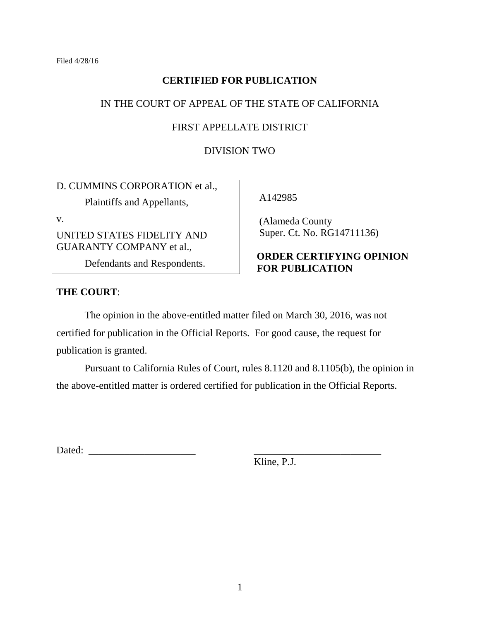# **CERTIFIED FOR PUBLICATION**

# IN THE COURT OF APPEAL OF THE STATE OF CALIFORNIA

# FIRST APPELLATE DISTRICT

#### DIVISION TWO

D. CUMMINS CORPORATION et al.,

Plaintiffs and Appellants,

v.

UNITED STATES FIDELITY AND GUARANTY COMPANY et al.,

Defendants and Respondents.

# **THE COURT**:

A142985

 (Alameda County Super. Ct. No. RG14711136)

# **ORDER CERTIFYING OPINION FOR PUBLICATION**

The opinion in the above-entitled matter filed on March 30, 2016, was not certified for publication in the Official Reports. For good cause, the request for publication is granted.

Pursuant to California Rules of Court, rules 8.1120 and 8.1105(b), the opinion in the above-entitled matter is ordered certified for publication in the Official Reports.

| $\overline{\phantom{a}}$<br>-<br>-- |  |
|-------------------------------------|--|
|-------------------------------------|--|

Kline, P.J.